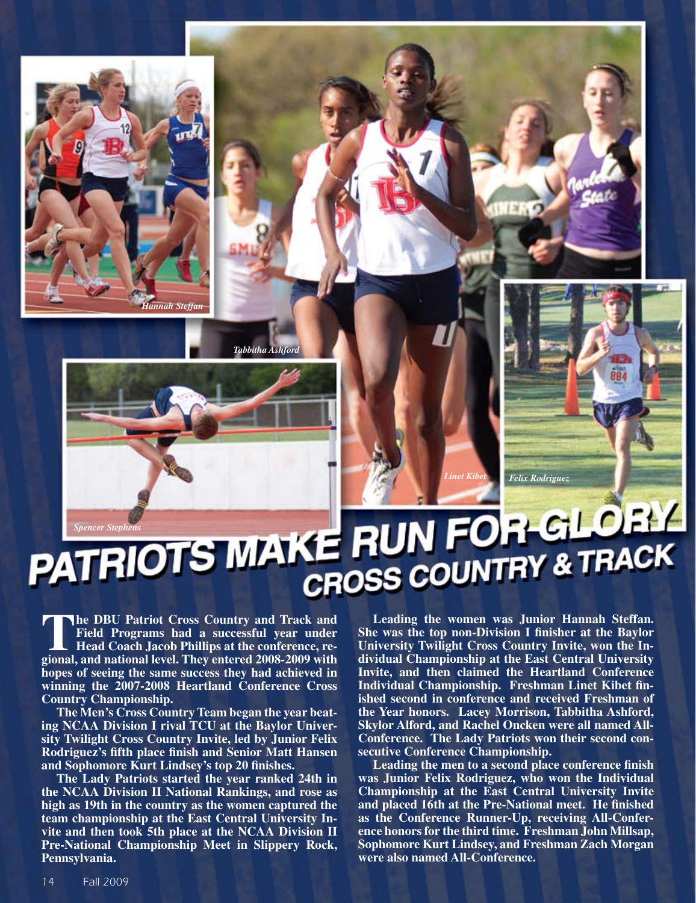**PATRIOTS MAKE RUN FOR GLOBY** CROSS COUNTRY & TRACK

The DBU Patriot Cross Country and Track and<br>Field Programs had a successful year under<br>Head Coach Jacob Phillips at the conference, re-<br>gional and pational laval They entered 2008, 2009 with **Field Programs had a successful year under Head Coach Jacob Phillips at the conference, regional, and national level. They entered 2008-2009 with hopes of seeing the same success they had achieved in winning the 2007-2008 Heartland Conference Cross Country Championship.**

*Hannah Steffan*

**Tabbitha Ash** 

**The Men's Cross Country Team began the year beating NCAA Division I rival TCU at the Baylor University Twilight Cross Country Invite, led by Junior Felix Rodriguez's fifth place finish and Senior Matt Hansen and Sophomore Kurt Lindsey's top 20 finishes.** 

**The Lady Patriots started the year ranked 24th in the NCAA Division II National Rankings, and rose as high as 19th in the country as the women captured the team championship at the East Central University Invite and then took 5th place at the NCAA Division II Pre-National Championship Meet in Slippery Rock, Pennsylvania.**

**Leading the women was Junior Hannah Steffan. She was the top non-Division I finisher at the Baylor University Twilight Cross Country Invite, won the Individual Championship at the East Central University Invite, and then claimed the Heartland Conference Individual Championship. Freshman Linet Kibet finished second in conference and received Freshman of the Year honors. Lacey Morrison, Tabbitha Ashford, Skylor Alford, and Rachel Oncken were all named All-Conference. The Lady Patriots won their second consecutive Conference Championship.**

*Felix Rodriguez*

*Linet Kibet*

**Leading the men to a second place conference finish was Junior Felix Rodriguez, who won the Individual Championship at the East Central University Invite and placed 16th at the Pre-National meet. He finished as the Conference Runner-Up, receiving All-Conference honors for the third time. Freshman John Millsap, Sophomore Kurt Lindsey, and Freshman Zach Morgan were also named All-Conference.**